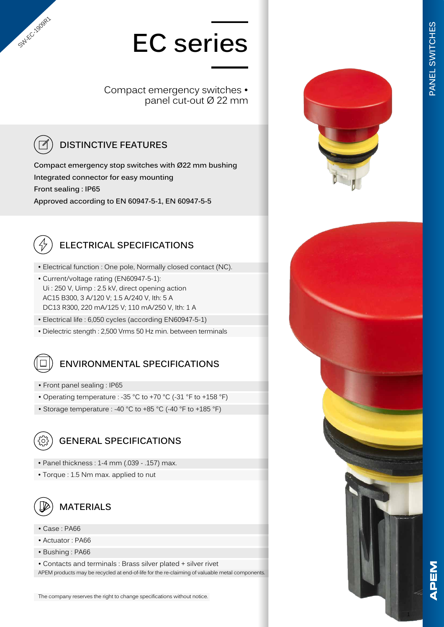# **EC series**

Compact emergency switches • panel cut-out Ø 22 mm

### **DISTINCTIVE FEATURES**

**Compact emergency stop switches with Ø22 mm bushing Integrated connector for easy mounting Front sealing : IP65 Approved according to EN 60947-5-1, EN 60947-5-5**



SW-EC-1909R1

#### **ELECTRICAL SPECIFICATIONS**

- Electrical function : One pole, Normally closed contact (NC).
- Current/voltage rating (EN60947-5-1): Ui : 250 V, Uimp : 2.5 kV, direct opening action AC15 B300, 3 A/120 V; 1.5 A/240 V, Ith: 5 A DC13 R300, 220 mA/125 V; 110 mA/250 V, Ith: 1 A
- Electrical life : 6,050 cycles (according EN60947-5-1)
- Dielectric stength : 2,500 Vrms 50 Hz min. between terminals

#### **ENVIRONMENTAL SPECIFICATIONS**

- Front panel sealing : IP65
- Operating temperature : -35 °C to +70 °C (-31 °F to +158 °F)
- Storage temperature : -40 °C to +85 °C (-40 °F to +185 °F)



#### **GENERAL SPECIFICATIONS**

- Panel thickness : 1-4 mm (.039 .157) max.
- Torque : 1.5 Nm max. applied to nut



#### **MATERIALS**

- Case : PA66
- Actuator : PA66
- Bushing : PA66

• Contacts and terminals : Brass silver plated + silver rivet APEM products may be recycled at end-of-life for the re-claiming of valuable metal components.





1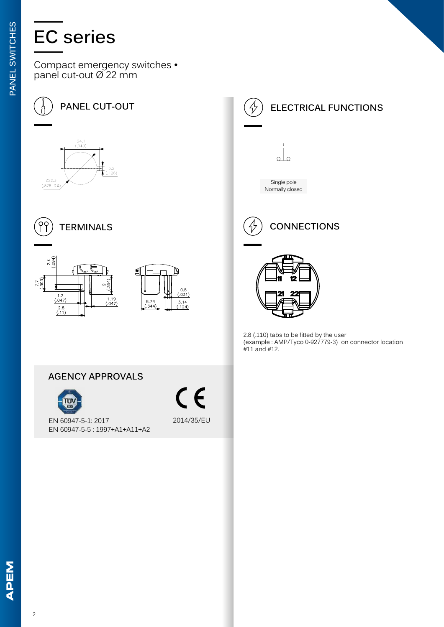## **EC series**

Compact emergency switches • panel cut-out Ø 22 mm











2.8 (.110) tabs to be fitted by the user (example : AMP/Tyco 0-927779-3) on connector location #11 and #12.

#### **AGENCY APPROVALS**



 $\epsilon$ 2014/35/EU